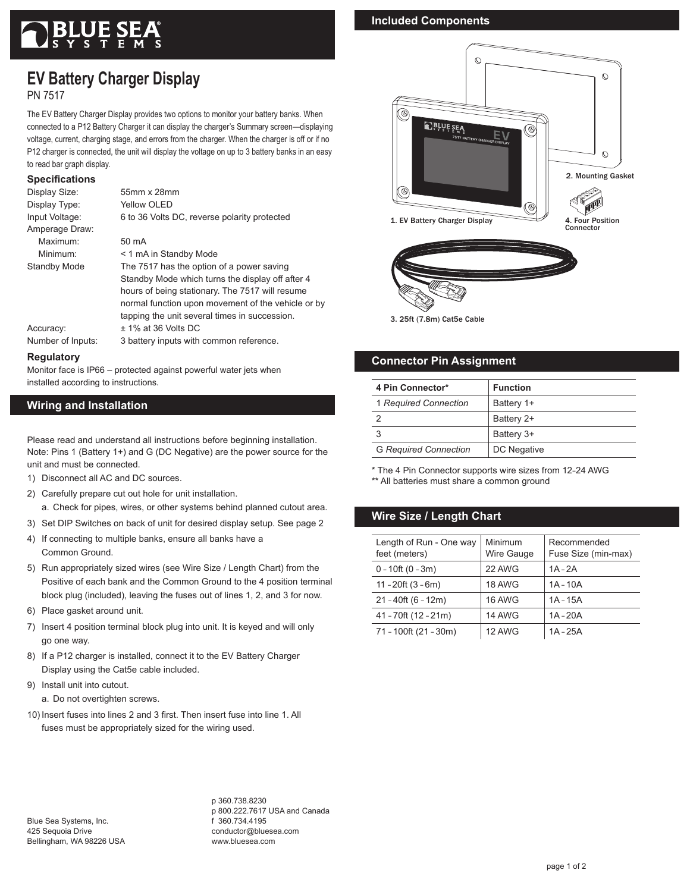# **EV Battery Charger Display**

PN 7517

The EV Battery Charger Display provides two options to monitor your battery banks. When connected to a P12 Battery Charger it can display the charger's Summary screen—displaying voltage, current, charging stage, and errors from the charger. When the charger is off or if no P12 charger is connected, the unit will display the voltage on up to 3 battery banks in an easy to read bar graph display.

#### **Specifications**

| Display Size:     | 55mm x 28mm                                        |
|-------------------|----------------------------------------------------|
| Display Type:     | Yellow OLED                                        |
| Input Voltage:    | 6 to 36 Volts DC, reverse polarity protected       |
| Amperage Draw:    |                                                    |
| Maximum:          | 50 mA                                              |
| Minimum:          | < 1 mA in Standby Mode                             |
| Standby Mode      | The 7517 has the option of a power saving          |
|                   | Standby Mode which turns the display off after 4   |
|                   | hours of being stationary. The 7517 will resume    |
|                   | normal function upon movement of the vehicle or by |
|                   | tapping the unit several times in succession.      |
| Accuracy:         | $±$ 1% at 36 Volts DC                              |
| Number of Inputs: | 3 battery inputs with common reference.            |
|                   |                                                    |

#### **Regulatory**

Monitor face is IP66 – protected against powerful water jets when installed according to instructions.

# **Wiring and Installation**

Please read and understand all instructions before beginning installation. Note: Pins 1 (Battery 1+) and G (DC Negative) are the power source for the unit and must be connected.

- 1) Disconnect all AC and DC sources.
- 2) Carefully prepare cut out hole for unit installation.

a. Check for pipes, wires, or other systems behind planned cutout area.

- 3) Set DIP Switches on back of unit for desired display setup. See page 2
- 4) If connecting to multiple banks, ensure all banks have a Common Ground.
- 5) Run appropriately sized wires (see Wire Size / Length Chart) from the Positive of each bank and the Common Ground to the 4 position terminal block plug (included), leaving the fuses out of lines 1, 2, and 3 for now.
- 6) Place gasket around unit.
- 7) Insert 4 position terminal block plug into unit. It is keyed and will only go one way.
- 8) If a P12 charger is installed, connect it to the EV Battery Charger Display using the Cat5e cable included.
- 9) Install unit into cutout.

a. Do not overtighten screws.

10) Insert fuses into lines 2 and 3 first. Then insert fuse into line 1. All fuses must be appropriately sized for the wiring used.

# **Included Components**



3. 25ft (7.8m) Cat5e Cable

### **Connector Pin Assignment**

| 4 Pin Connector*             | <b>Function</b> |
|------------------------------|-----------------|
| 1 Required Connection        | Battery 1+      |
|                              | Battery 2+      |
|                              | Battery 3+      |
| <b>G Required Connection</b> | DC Negative     |

\* The 4 Pin Connector supports wire sizes from 12–24 AWG \*\* All batteries must share a common ground

# **Wire Size / Length Chart**

| Length of Run - One way<br>feet (meters) | Minimum<br>Wire Gauge | Recommended<br>Fuse Size (min-max) |
|------------------------------------------|-----------------------|------------------------------------|
| $0 - 10$ ft (0 $-3m$ )                   | 22 AWG                | $1A - 2A$                          |
| $11 - 20$ ft $(3 - 6m)$                  | 18 AWG                | $1A - 10A$                         |
| $21 - 40$ ft (6 - 12m)                   | 16 AWG                | $1A - 15A$                         |
| $41 - 70$ ft (12 - 21m)                  | 14 AWG                | $1A - 20A$                         |
| 71 - 100ft (21 - 30m)                    | 12 AWG                | $1A - 25A$                         |

Blue Sea Systems, Inc. 425 Sequoia Drive Bellingham, WA 98226 USA p 360.738.8230 p 800.222.7617 USA and Canada f 360.734.4195 conductor@bluesea.com www.bluesea.com